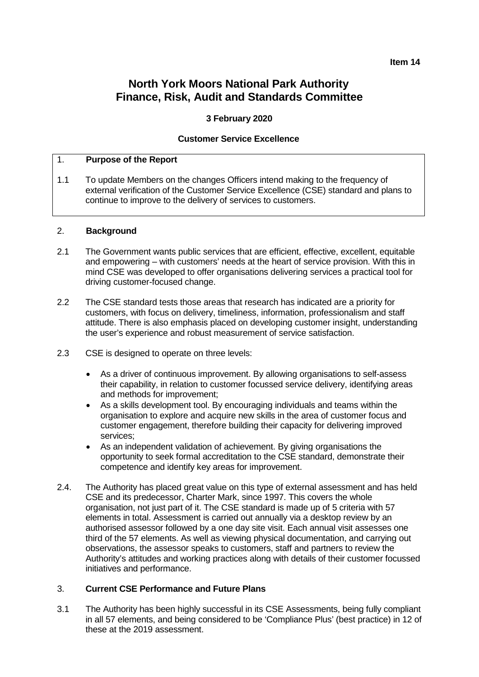# **North York Moors National Park Authority Finance, Risk, Audit and Standards Committee**

# **3 February 2020**

# **Customer Service Excellence**

## 1. **Purpose of the Report**

1.1 To update Members on the changes Officers intend making to the frequency of external verification of the Customer Service Excellence (CSE) standard and plans to continue to improve to the delivery of services to customers.

#### 2. **Background**

- 2.1 The Government wants public services that are efficient, effective, excellent, equitable and empowering – with customers' needs at the heart of service provision. With this in mind CSE was developed to offer organisations delivering services a practical tool for driving customer-focused change.
- 2.2 The CSE standard tests those areas that research has indicated are a priority for customers, with focus on delivery, timeliness, information, professionalism and staff attitude. There is also emphasis placed on developing customer insight, understanding the user's experience and robust measurement of service satisfaction.
- 2.3 CSE is designed to operate on three levels:
	- As a driver of continuous improvement. By allowing organisations to self-assess their capability, in relation to customer focussed service delivery, identifying areas and methods for improvement;
	- As a skills development tool. By encouraging individuals and teams within the organisation to explore and acquire new skills in the area of customer focus and customer engagement, therefore building their capacity for delivering improved services;
	- As an independent validation of achievement. By giving organisations the opportunity to seek formal accreditation to the CSE standard, demonstrate their competence and identify key areas for improvement.
- 2.4. The Authority has placed great value on this type of external assessment and has held CSE and its predecessor, Charter Mark, since 1997. This covers the whole organisation, not just part of it. The CSE standard is made up of 5 criteria with 57 elements in total. Assessment is carried out annually via a desktop review by an authorised assessor followed by a one day site visit. Each annual visit assesses one third of the 57 elements. As well as viewing physical documentation, and carrying out observations, the assessor speaks to customers, staff and partners to review the Authority's attitudes and working practices along with details of their customer focussed initiatives and performance.

#### 3. **Current CSE Performance and Future Plans**

3.1 The Authority has been highly successful in its CSE Assessments, being fully compliant in all 57 elements, and being considered to be 'Compliance Plus' (best practice) in 12 of these at the 2019 assessment.